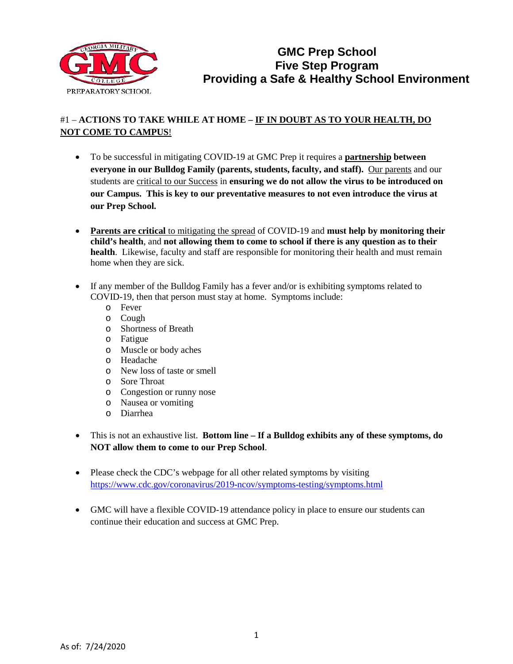

# #1 – **ACTIONS TO TAKE WHILE AT HOME – IF IN DOUBT AS TO YOUR HEALTH, DO NOT COME TO CAMPUS**!

- To be successful in mitigating COVID-19 at GMC Prep it requires a **partnership between everyone in our Bulldog Family (parents, students, faculty, and staff).** Our parents and our students are critical to our Success in **ensuring we do not allow the virus to be introduced on our Campus. This is key to our preventative measures to not even introduce the virus at our Prep School.**
- **Parents are critical** to mitigating the spread of COVID-19 and **must help by monitoring their child's health**, and **not allowing them to come to school if there is any question as to their health**. Likewise, faculty and staff are responsible for monitoring their health and must remain home when they are sick.
- If any member of the Bulldog Family has a fever and/or is exhibiting symptoms related to COVID-19, then that person must stay at home. Symptoms include:
	- o Fever
	- o Cough
	- o Shortness of Breath
	- o Fatigue
	- o Muscle or body aches
	- o Headache
	- o New loss of taste or smell
	- o Sore Throat
	- o Congestion or runny nose
	- o Nausea or vomiting
	- o Diarrhea
- This is not an exhaustive list. **Bottom line – If a Bulldog exhibits any of these symptoms, do NOT allow them to come to our Prep School**.
- Please check the CDC's webpage for all other related symptoms by visiting <https://www.cdc.gov/coronavirus/2019-ncov/symptoms-testing/symptoms.html>
- GMC will have a flexible COVID-19 attendance policy in place to ensure our students can continue their education and success at GMC Prep.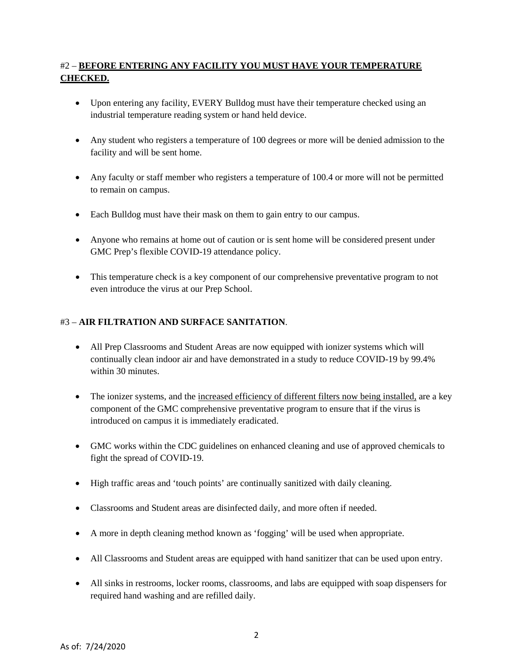## #2 – **BEFORE ENTERING ANY FACILITY YOU MUST HAVE YOUR TEMPERATURE CHECKED.**

- Upon entering any facility, EVERY Bulldog must have their temperature checked using an industrial temperature reading system or hand held device.
- Any student who registers a temperature of 100 degrees or more will be denied admission to the facility and will be sent home.
- Any faculty or staff member who registers a temperature of 100.4 or more will not be permitted to remain on campus.
- Each Bulldog must have their mask on them to gain entry to our campus.
- Anyone who remains at home out of caution or is sent home will be considered present under GMC Prep's flexible COVID-19 attendance policy.
- This temperature check is a key component of our comprehensive preventative program to not even introduce the virus at our Prep School.

#### #3 – **AIR FILTRATION AND SURFACE SANITATION**.

- All Prep Classrooms and Student Areas are now equipped with ionizer systems which will continually clean indoor air and have demonstrated in a study to reduce COVID-19 by 99.4% within 30 minutes
- The ionizer systems, and the increased efficiency of different filters now being installed, are a key component of the GMC comprehensive preventative program to ensure that if the virus is introduced on campus it is immediately eradicated.
- GMC works within the CDC guidelines on enhanced cleaning and use of approved chemicals to fight the spread of COVID-19.
- High traffic areas and 'touch points' are continually sanitized with daily cleaning.
- Classrooms and Student areas are disinfected daily, and more often if needed.
- A more in depth cleaning method known as 'fogging' will be used when appropriate.
- All Classrooms and Student areas are equipped with hand sanitizer that can be used upon entry.
- All sinks in restrooms, locker rooms, classrooms, and labs are equipped with soap dispensers for required hand washing and are refilled daily.